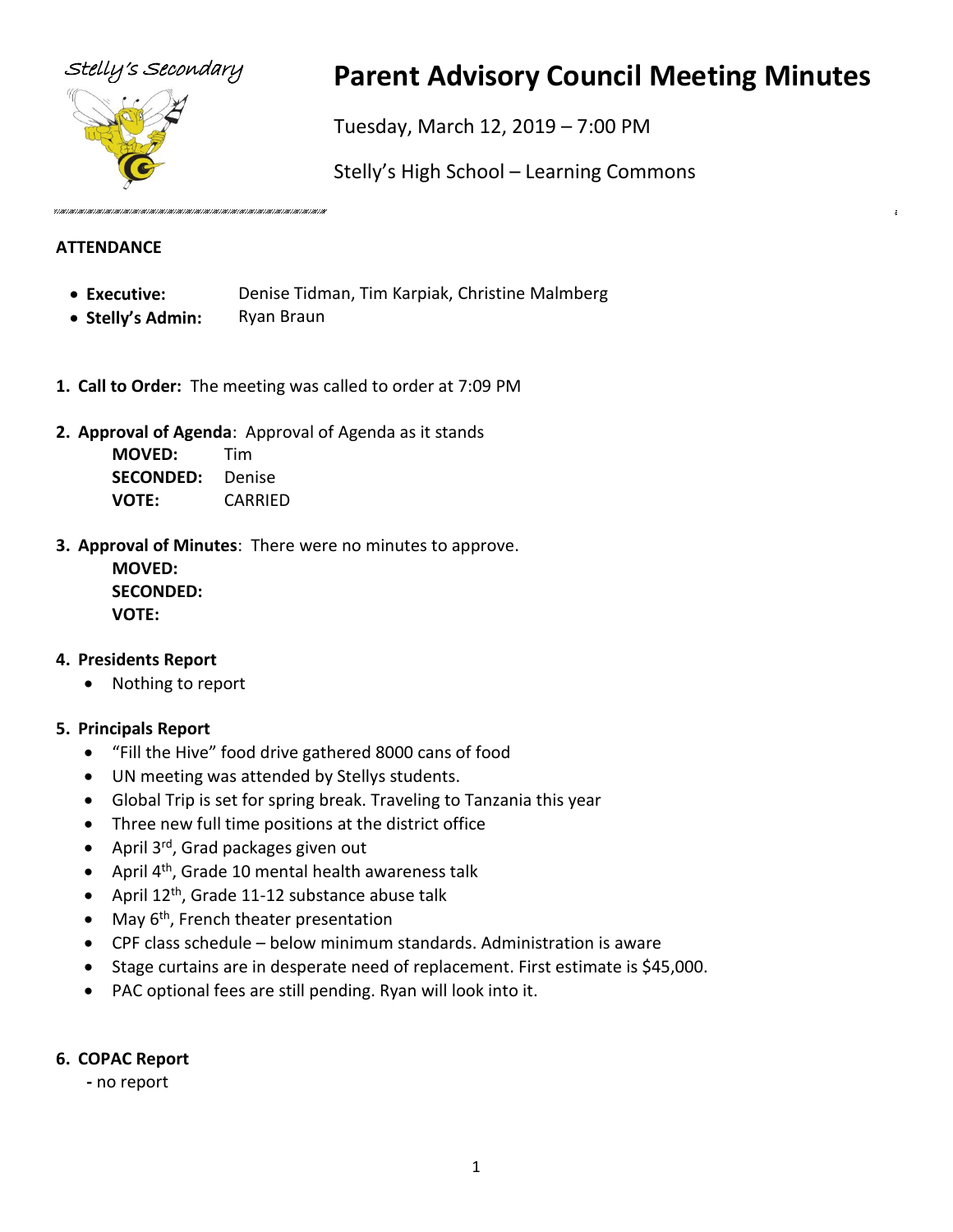

# Stelly's Secondary **Parent Advisory Council Meeting Minutes**

Tuesday, March 12, 2019 – 7:00 PM

Stelly's High School – Learning Commons

#### **ATTENDANCE**

- **Executive:** Denise Tidman, Tim Karpiak, Christine Malmberg
- **Stelly's Admin:** Ryan Braun
- **1. Call to Order:** The meeting was called to order at 7:09 PM
- **2. Approval of Agenda**: Approval of Agenda as it stands

**MOVED:** Tim **SECONDED:** Denise **VOTE:** CARRIED

**3. Approval of Minutes**: There were no minutes to approve.

**MOVED: SECONDED: VOTE:**

#### **4. Presidents Report**

• Nothing to report

# **5. Principals Report**

- "Fill the Hive" food drive gathered 8000 cans of food
- UN meeting was attended by Stellys students.
- Global Trip is set for spring break. Traveling to Tanzania this year
- Three new full time positions at the district office
- April 3<sup>rd</sup>, Grad packages given out
- April  $4^{th}$ , Grade 10 mental health awareness talk
- April 12<sup>th</sup>, Grade 11-12 substance abuse talk
- May  $6<sup>th</sup>$ , French theater presentation
- CPF class schedule below minimum standards. Administration is aware
- Stage curtains are in desperate need of replacement. First estimate is \$45,000.
- PAC optional fees are still pending. Ryan will look into it.

#### **6. COPAC Report**

 **-** no report